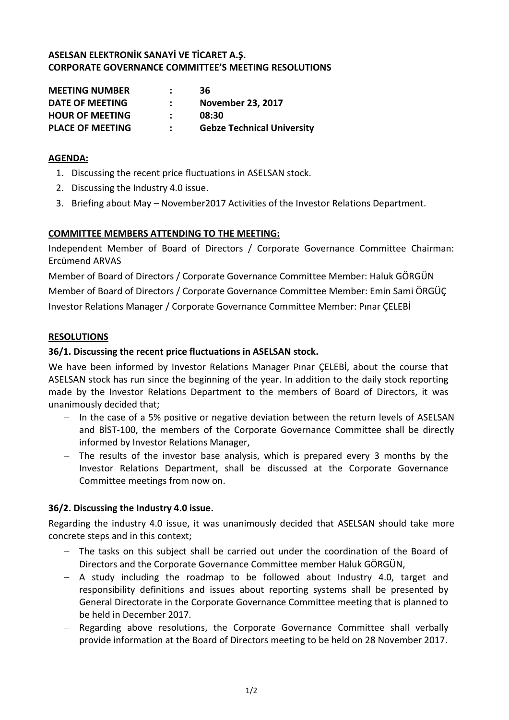# **ASELSAN ELEKTRONİK SANAYİ VE TİCARET A.Ş. CORPORATE GOVERNANCE COMMITTEE'S MEETING RESOLUTIONS**

| <b>MEETING NUMBER</b>   | 36                                |
|-------------------------|-----------------------------------|
| DATE OF MEETING         | <b>November 23, 2017</b>          |
| <b>HOUR OF MEETING</b>  | 08:30                             |
| <b>PLACE OF MEETING</b> | <b>Gebze Technical University</b> |

#### **AGENDA:**

- 1. Discussing the recent price fluctuations in ASELSAN stock.
- 2. Discussing the Industry 4.0 issue.
- 3. Briefing about May November2017 Activities of the Investor Relations Department.

## **COMMITTEE MEMBERS ATTENDING TO THE MEETING:**

Independent Member of Board of Directors / Corporate Governance Committee Chairman: Ercümend ARVAS

Member of Board of Directors / Corporate Governance Committee Member: Haluk GÖRGÜN Member of Board of Directors / Corporate Governance Committee Member: Emin Sami ÖRGÜÇ Investor Relations Manager / Corporate Governance Committee Member: Pınar ÇELEBİ

#### **RESOLUTIONS**

## **36/1. Discussing the recent price fluctuations in ASELSAN stock.**

We have been informed by Investor Relations Manager Pınar ÇELEBİ, about the course that ASELSAN stock has run since the beginning of the year. In addition to the daily stock reporting made by the Investor Relations Department to the members of Board of Directors, it was unanimously decided that;

- $-$  In the case of a 5% positive or negative deviation between the return levels of ASELSAN and BİST-100, the members of the Corporate Governance Committee shall be directly informed by Investor Relations Manager,
- The results of the investor base analysis, which is prepared every 3 months by the Investor Relations Department, shall be discussed at the Corporate Governance Committee meetings from now on.

## **36/2. Discussing the Industry 4.0 issue.**

Regarding the industry 4.0 issue, it was unanimously decided that ASELSAN should take more concrete steps and in this context;

- The tasks on this subject shall be carried out under the coordination of the Board of Directors and the Corporate Governance Committee member Haluk GÖRGÜN,
- $-$  A study including the roadmap to be followed about Industry 4.0, target and responsibility definitions and issues about reporting systems shall be presented by General Directorate in the Corporate Governance Committee meeting that is planned to be held in December 2017.
- Regarding above resolutions, the Corporate Governance Committee shall verbally provide information at the Board of Directors meeting to be held on 28 November 2017.